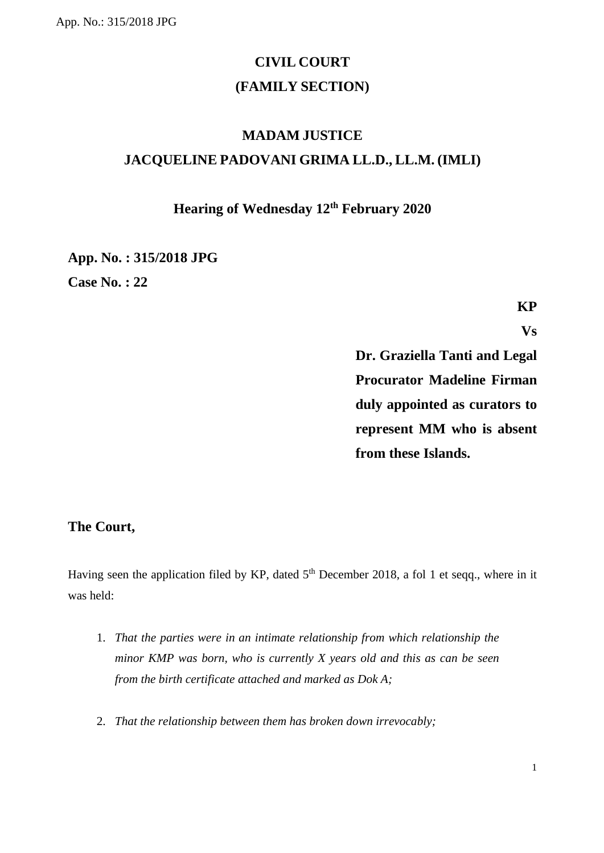# **CIVIL COURT (FAMILY SECTION)**

# **MADAM JUSTICE JACQUELINE PADOVANI GRIMA LL.D., LL.M. (IMLI)**

## **Hearing of Wednesday 12th February 2020**

**App. No. : 315/2018 JPG Case No. : 22**

**KP**

**Vs**

**Dr. Graziella Tanti and Legal Procurator Madeline Firman duly appointed as curators to represent MM who is absent from these Islands.**

### **The Court,**

Having seen the application filed by KP, dated 5<sup>th</sup> December 2018, a fol 1 et seqq., where in it was held:

- 1. *That the parties were in an intimate relationship from which relationship the minor KMP was born, who is currently X years old and this as can be seen from the birth certificate attached and marked as Dok A;*
- 2. *That the relationship between them has broken down irrevocably;*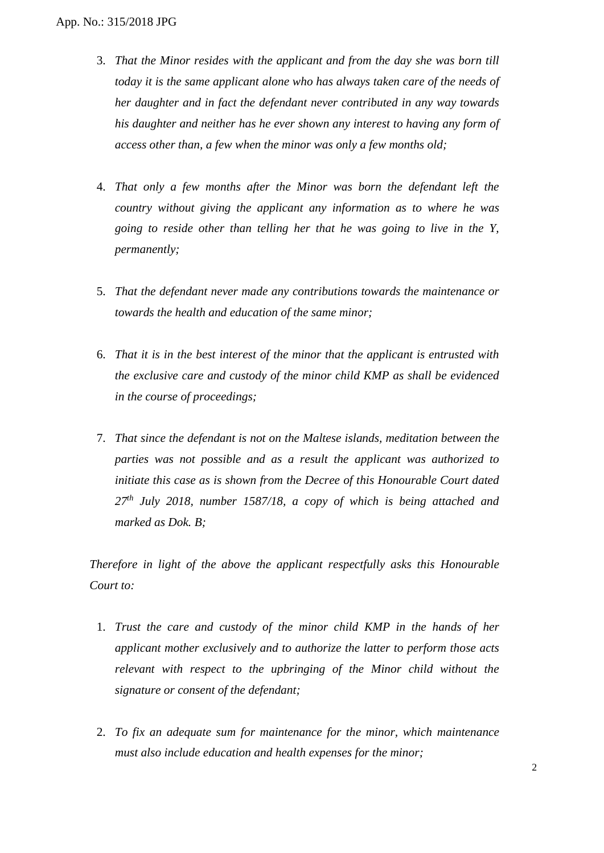- 3. *That the Minor resides with the applicant and from the day she was born till today it is the same applicant alone who has always taken care of the needs of her daughter and in fact the defendant never contributed in any way towards his daughter and neither has he ever shown any interest to having any form of access other than, a few when the minor was only a few months old;*
- 4. *That only a few months after the Minor was born the defendant left the country without giving the applicant any information as to where he was going to reside other than telling her that he was going to live in the Y, permanently;*
- 5. *That the defendant never made any contributions towards the maintenance or towards the health and education of the same minor;*
- 6. *That it is in the best interest of the minor that the applicant is entrusted with the exclusive care and custody of the minor child KMP as shall be evidenced in the course of proceedings;*
- 7. *That since the defendant is not on the Maltese islands, meditation between the parties was not possible and as a result the applicant was authorized to initiate this case as is shown from the Decree of this Honourable Court dated 27th July 2018, number 1587/18, a copy of which is being attached and marked as Dok. B;*

*Therefore in light of the above the applicant respectfully asks this Honourable Court to:*

- 1. *Trust the care and custody of the minor child KMP in the hands of her applicant mother exclusively and to authorize the latter to perform those acts relevant with respect to the upbringing of the Minor child without the signature or consent of the defendant;*
- 2. *To fix an adequate sum for maintenance for the minor, which maintenance must also include education and health expenses for the minor;*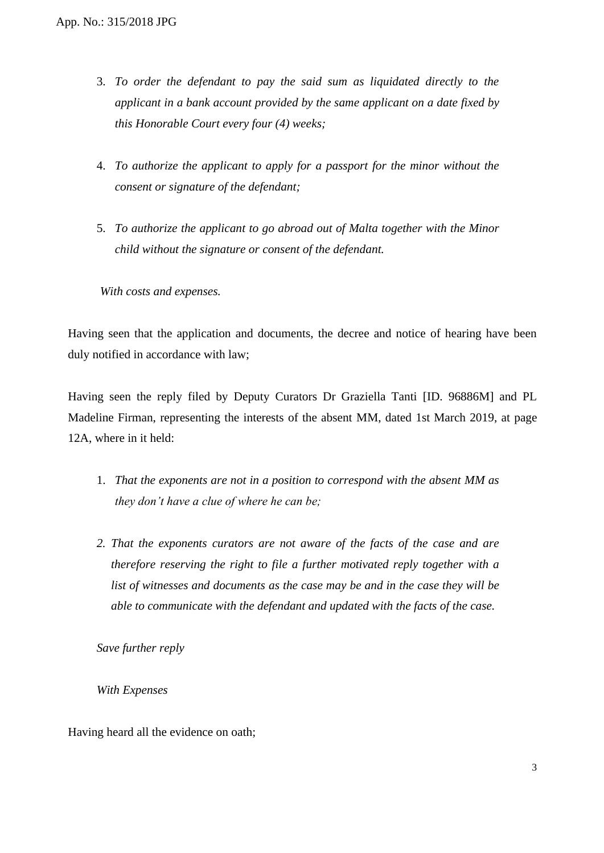- 3. *To order the defendant to pay the said sum as liquidated directly to the applicant in a bank account provided by the same applicant on a date fixed by this Honorable Court every four (4) weeks;*
- 4. *To authorize the applicant to apply for a passport for the minor without the consent or signature of the defendant;*
- 5. *To authorize the applicant to go abroad out of Malta together with the Minor child without the signature or consent of the defendant.*

*With costs and expenses.* 

Having seen that the application and documents, the decree and notice of hearing have been duly notified in accordance with law;

Having seen the reply filed by Deputy Curators Dr Graziella Tanti [ID. 96886M] and PL Madeline Firman, representing the interests of the absent MM, dated 1st March 2019, at page 12A, where in it held:

- 1. *That the exponents are not in a position to correspond with the absent MM as they don't have a clue of where he can be;*
- *2. That the exponents curators are not aware of the facts of the case and are therefore reserving the right to file a further motivated reply together with a list of witnesses and documents as the case may be and in the case they will be able to communicate with the defendant and updated with the facts of the case.*

*Save further reply*

*With Expenses* 

Having heard all the evidence on oath;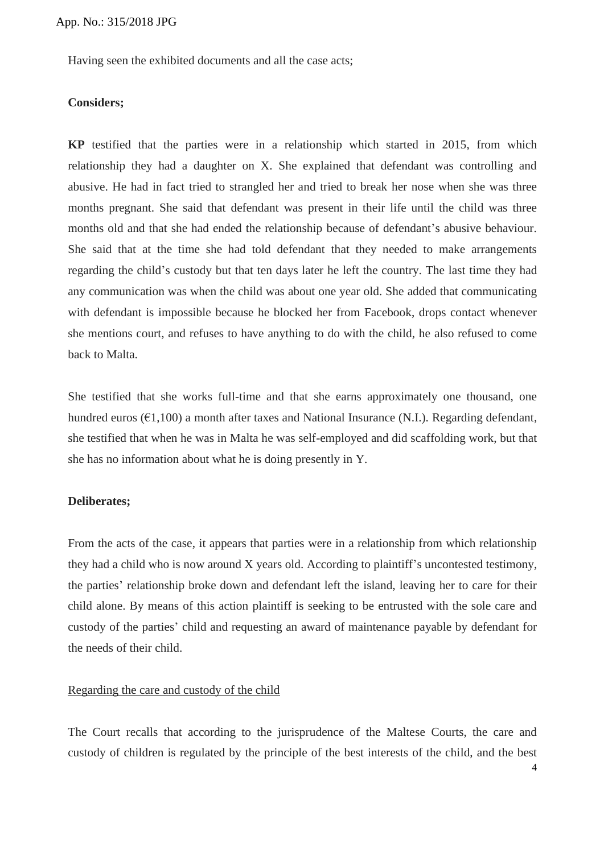Having seen the exhibited documents and all the case acts;

#### **Considers;**

**KP** testified that the parties were in a relationship which started in 2015, from which relationship they had a daughter on X. She explained that defendant was controlling and abusive. He had in fact tried to strangled her and tried to break her nose when she was three months pregnant. She said that defendant was present in their life until the child was three months old and that she had ended the relationship because of defendant's abusive behaviour. She said that at the time she had told defendant that they needed to make arrangements regarding the child's custody but that ten days later he left the country. The last time they had any communication was when the child was about one year old. She added that communicating with defendant is impossible because he blocked her from Facebook, drops contact whenever she mentions court, and refuses to have anything to do with the child, he also refused to come back to Malta.

She testified that she works full-time and that she earns approximately one thousand, one hundred euros ( $\epsilon$ 1,100) a month after taxes and National Insurance (N.I.). Regarding defendant, she testified that when he was in Malta he was self-employed and did scaffolding work, but that she has no information about what he is doing presently in Y.

#### **Deliberates;**

From the acts of the case, it appears that parties were in a relationship from which relationship they had a child who is now around X years old. According to plaintiff's uncontested testimony, the parties' relationship broke down and defendant left the island, leaving her to care for their child alone. By means of this action plaintiff is seeking to be entrusted with the sole care and custody of the parties' child and requesting an award of maintenance payable by defendant for the needs of their child.

### Regarding the care and custody of the child

The Court recalls that according to the jurisprudence of the Maltese Courts, the care and custody of children is regulated by the principle of the best interests of the child, and the best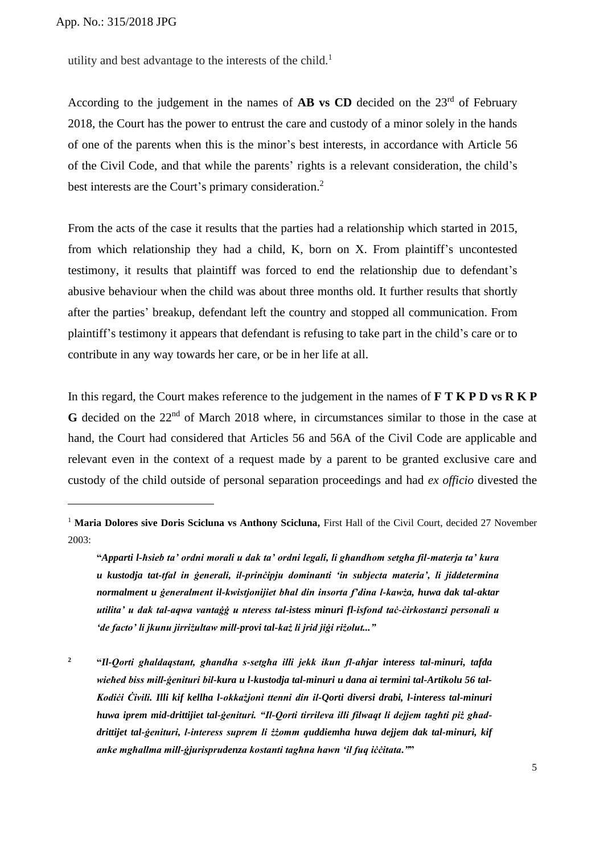App. No.: 315/2018 JPG

utility and best advantage to the interests of the child.<sup>1</sup>

According to the judgement in the names of **AB vs CD** decided on the 23<sup>rd</sup> of February 2018, the Court has the power to entrust the care and custody of a minor solely in the hands of one of the parents when this is the minor's best interests, in accordance with Article 56 of the Civil Code, and that while the parents' rights is a relevant consideration, the child's best interests are the Court's primary consideration.<sup>2</sup>

From the acts of the case it results that the parties had a relationship which started in 2015, from which relationship they had a child, K, born on X. From plaintiff's uncontested testimony, it results that plaintiff was forced to end the relationship due to defendant's abusive behaviour when the child was about three months old. It further results that shortly after the parties' breakup, defendant left the country and stopped all communication. From plaintiff's testimony it appears that defendant is refusing to take part in the child's care or to contribute in any way towards her care, or be in her life at all.

In this regard, the Court makes reference to the judgement in the names of **F T K P D vs R K P**  G decided on the 22<sup>nd</sup> of March 2018 where, in circumstances similar to those in the case at hand, the Court had considered that Articles 56 and 56A of the Civil Code are applicable and relevant even in the context of a request made by a parent to be granted exclusive care and custody of the child outside of personal separation proceedings and had *ex officio* divested the

<sup>&</sup>lt;sup>1</sup> **Maria Dolores sive Doris Scicluna vs Anthony Scicluna,** First Hall of the Civil Court, decided 27 November 2003:

**<sup>&</sup>quot;***Apparti l-ħsieb ta' ordni morali u dak ta' ordni legali, li għandhom setgħa fil-materja ta' kura u kustodja tat-tfal in ġenerali, il-prinċipju dominanti 'in subjecta materia', li jiddetermina normalment u ġeneralment il-kwistjonijiet bħal din insorta f'dina l-kawża, huwa dak tal-aktar utilita' u dak tal-aqwa vantaġġ u nteress tal-istess minuri fl-isfond taċ-ċirkostanzi personali u 'de facto' li jkunu jirriżultaw mill-provi tal-każ li jrid jiġi riżolut..."*

**<sup>2</sup> "***Il-Qorti għaldaqstant, għandha s-setgħa illi jekk ikun fl-aħjar interess tal-minuri, tafda wieħed biss mill-ġenituri bil-kura u l-kustodja tal-minuri u dana ai termini tal-Artikolu 56 tal-Kodiċi Ċivili. Illi kif kellha l-okkażjoni ttenni din il-Qorti diversi drabi, l-interess tal-minuri huwa iprem mid-drittijiet tal-ġenituri. "Il-Qorti tirrileva illi filwaqt li dejjem tagħti piż għaddrittijet tal-ġenituri, l-interess suprem li żżomm quddiemha huwa dejjem dak tal-minuri, kif anke mgħallma mill-ġjurisprudenza kostanti tagħna hawn 'il fuq iċċitata."***"**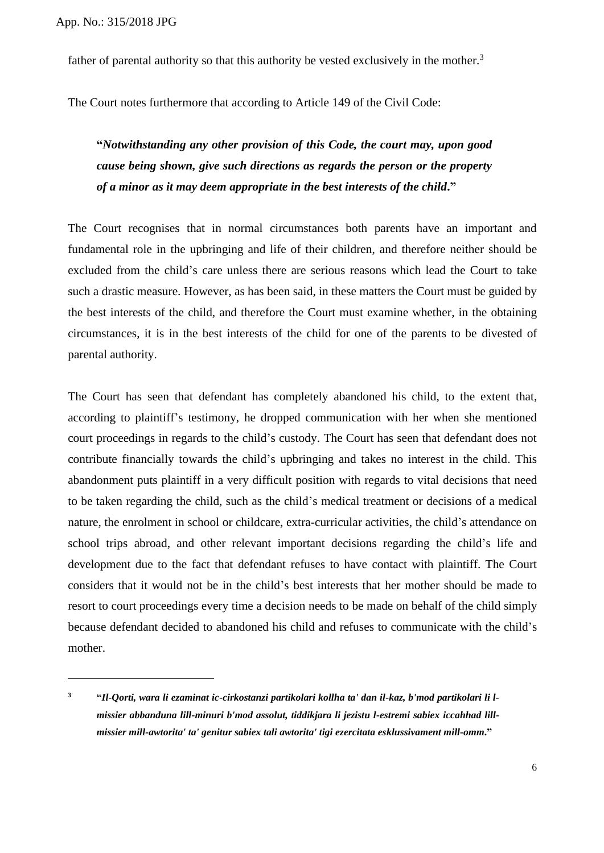father of parental authority so that this authority be vested exclusively in the mother.<sup>3</sup>

The Court notes furthermore that according to Article 149 of the Civil Code:

## **"***Notwithstanding any other provision of this Code, the court may, upon good cause being shown, give such directions as regards the person or the property of a minor as it may deem appropriate in the best interests of the child***."**

The Court recognises that in normal circumstances both parents have an important and fundamental role in the upbringing and life of their children, and therefore neither should be excluded from the child's care unless there are serious reasons which lead the Court to take such a drastic measure. However, as has been said, in these matters the Court must be guided by the best interests of the child, and therefore the Court must examine whether, in the obtaining circumstances, it is in the best interests of the child for one of the parents to be divested of parental authority.

The Court has seen that defendant has completely abandoned his child, to the extent that, according to plaintiff's testimony, he dropped communication with her when she mentioned court proceedings in regards to the child's custody. The Court has seen that defendant does not contribute financially towards the child's upbringing and takes no interest in the child. This abandonment puts plaintiff in a very difficult position with regards to vital decisions that need to be taken regarding the child, such as the child's medical treatment or decisions of a medical nature, the enrolment in school or childcare, extra-curricular activities, the child's attendance on school trips abroad, and other relevant important decisions regarding the child's life and development due to the fact that defendant refuses to have contact with plaintiff. The Court considers that it would not be in the child's best interests that her mother should be made to resort to court proceedings every time a decision needs to be made on behalf of the child simply because defendant decided to abandoned his child and refuses to communicate with the child's mother.

**<sup>3</sup> "***Il-Qorti, wara li ezaminat ic-cirkostanzi partikolari kollha ta' dan il-kaz, b'mod partikolari li lmissier abbanduna lill-minuri b'mod assolut, tiddikjara li jezistu l-estremi sabiex iccahhad lillmissier mill-awtorita' ta' genitur sabiex tali awtorita' tigi ezercitata esklussivament mill-omm***."**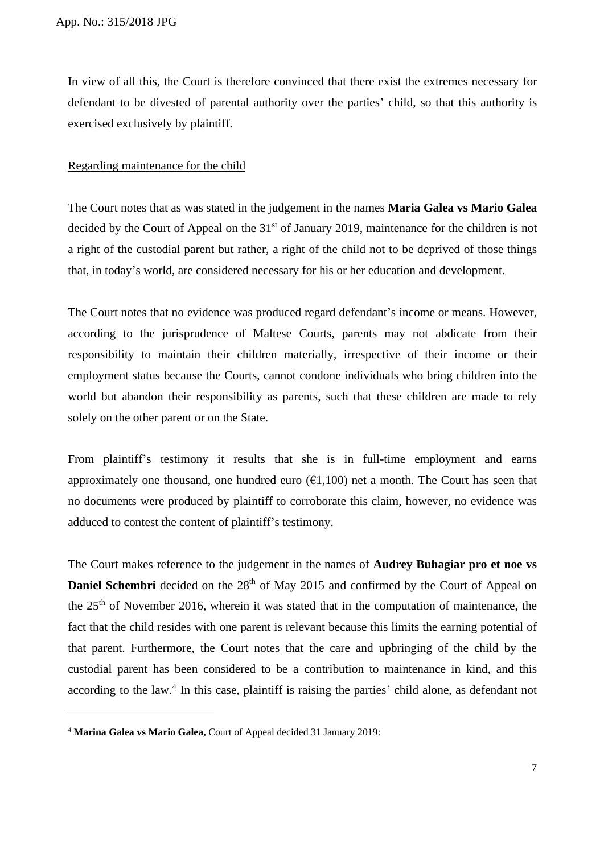In view of all this, the Court is therefore convinced that there exist the extremes necessary for defendant to be divested of parental authority over the parties' child, so that this authority is exercised exclusively by plaintiff.

#### Regarding maintenance for the child

The Court notes that as was stated in the judgement in the names **Maria Galea vs Mario Galea**  decided by the Court of Appeal on the 31<sup>st</sup> of January 2019, maintenance for the children is not a right of the custodial parent but rather, a right of the child not to be deprived of those things that, in today's world, are considered necessary for his or her education and development.

The Court notes that no evidence was produced regard defendant's income or means. However, according to the jurisprudence of Maltese Courts, parents may not abdicate from their responsibility to maintain their children materially, irrespective of their income or their employment status because the Courts, cannot condone individuals who bring children into the world but abandon their responsibility as parents, such that these children are made to rely solely on the other parent or on the State.

From plaintiff's testimony it results that she is in full-time employment and earns approximately one thousand, one hundred euro  $(\epsilon 1,100)$  net a month. The Court has seen that no documents were produced by plaintiff to corroborate this claim, however, no evidence was adduced to contest the content of plaintiff's testimony.

The Court makes reference to the judgement in the names of **Audrey Buhagiar pro et noe vs Daniel Schembri** decided on the 28<sup>th</sup> of May 2015 and confirmed by the Court of Appeal on the  $25<sup>th</sup>$  of November 2016, wherein it was stated that in the computation of maintenance, the fact that the child resides with one parent is relevant because this limits the earning potential of that parent. Furthermore, the Court notes that the care and upbringing of the child by the custodial parent has been considered to be a contribution to maintenance in kind, and this according to the law.<sup>4</sup> In this case, plaintiff is raising the parties' child alone, as defendant not

<sup>4</sup> **Marina Galea vs Mario Galea,** Court of Appeal decided 31 January 2019: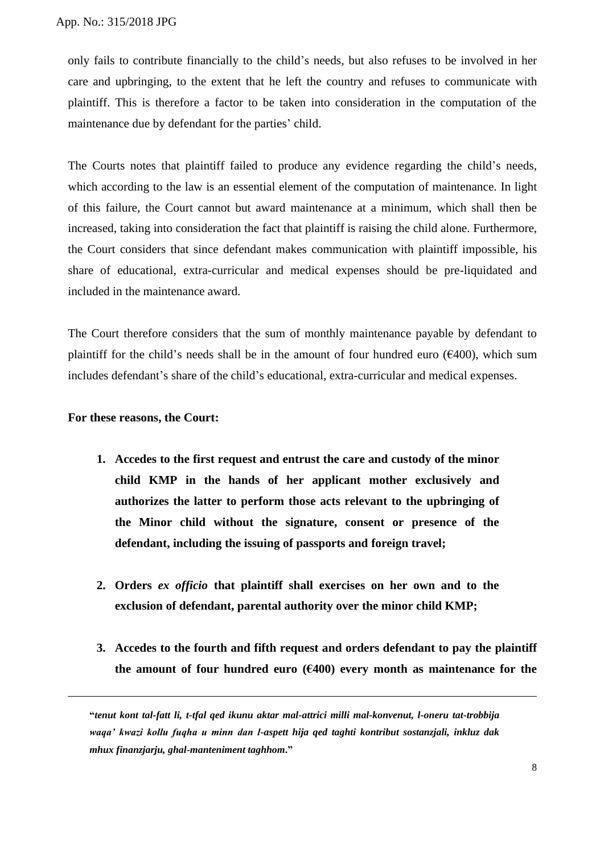only fails to contribute financially to the child's needs, but also refuses to be involved in her care and upbringing, to the extent that he left the country and refuses to communicate with plaintiff. This is therefore a factor to be taken into consideration in the computation of the maintenance due by defendant for the parties' child.

The Courts notes that plaintiff failed to produce any evidence regarding the child's needs, which according to the law is an essential element of the computation of maintenance. In light of this failure, the Court cannot but award maintenance at a minimum, which shall then be increased, taking into consideration the fact that plaintiff is raising the child alone. Furthermore, the Court considers that since defendant makes communication with plaintiff impossible, his share of educational, extra-curricular and medical expenses should be pre-liquidated and included in the maintenance award.

The Court therefore considers that the sum of monthly maintenance payable by defendant to plaintiff for the child's needs shall be in the amount of four hundred euro ( $\epsilon$ 400), which sum includes defendant's share of the child's educational, extra-curricular and medical expenses.

#### **For these reasons, the Court:**

- **1. Accedes to the first request and entrust the care and custody of the minor child KMP in the hands of her applicant mother exclusively and authorizes the latter to perform those acts relevant to the upbringing of the Minor child without the signature, consent or presence of the defendant, including the issuing of passports and foreign travel;**
- **2. Orders** *ex officio* **that plaintiff shall exercises on her own and to the exclusion of defendant, parental authority over the minor child KMP;**
- **3. Accedes to the fourth and fifth request and orders defendant to pay the plaintiff**  the amount of four hundred euro  $(6400)$  every month as maintenance for the

**<sup>&</sup>quot;***tenut kont tal-fatt li, t-tfal qed ikunu aktar mal-attrici milli mal-konvenut, l-oneru tat-trobbija waqa' kwazi kollu fuqha u minn dan l-aspett hija qed taghti kontribut sostanzjali, inkluz dak mhux finanzjarju, ghal-manteniment taghhom***."**